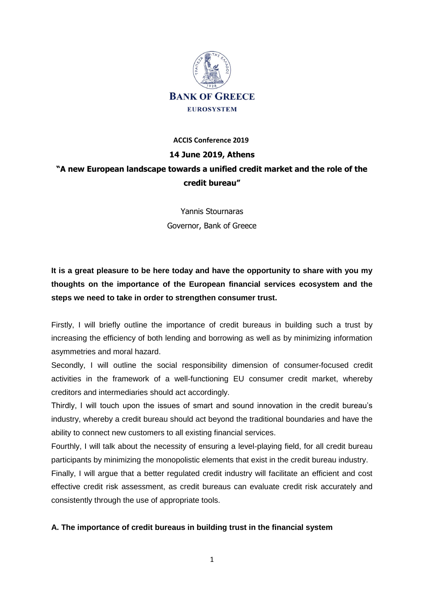

### **ACCIS Conference 2019**

## **14 June 2019, Athens**

# **"A new European landscape towards a unified credit market and the role of the credit bureau"**

Yannis Stournaras Governor, Bank of Greece

**It is a great pleasure to be here today and have the opportunity to share with you my thoughts on the importance of the European financial services ecosystem and the steps we need to take in order to strengthen consumer trust.** 

Firstly, I will briefly outline the importance of credit bureaus in building such a trust by increasing the efficiency of both lending and borrowing as well as by minimizing information asymmetries and moral hazard.

Secondly, I will outline the social responsibility dimension of consumer-focused credit activities in the framework of a well-functioning EU consumer credit market, whereby creditors and intermediaries should act accordingly.

Thirdly, I will touch upon the issues of smart and sound innovation in the credit bureau's industry, whereby a credit bureau should act beyond the traditional boundaries and have the ability to connect new customers to all existing financial services.

Fourthly, I will talk about the necessity of ensuring a level-playing field, for all credit bureau participants by minimizing the monopolistic elements that exist in the credit bureau industry.

Finally, I will argue that a better regulated credit industry will facilitate an efficient and cost effective credit risk assessment, as credit bureaus can evaluate credit risk accurately and consistently through the use of appropriate tools.

# **A. The importance of credit bureaus in building trust in the financial system**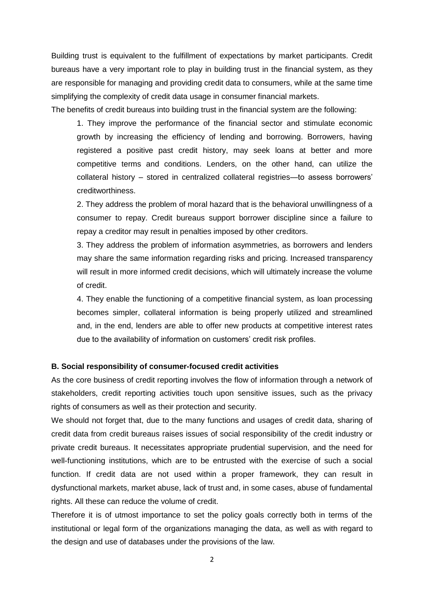Building trust is equivalent to the fulfillment of expectations by market participants. Credit bureaus have a very important role to play in building trust in the financial system, as they are responsible for managing and providing credit data to consumers, while at the same time simplifying the complexity of credit data usage in consumer financial markets.

The benefits of credit bureaus into building trust in the financial system are the following:

1. They improve the performance of the financial sector and stimulate economic growth by increasing the efficiency of lending and borrowing. Borrowers, having registered a positive past credit history, may seek loans at better and more competitive terms and conditions. Lenders, on the other hand, can utilize the collateral history – stored in centralized collateral registries—to assess borrowers' creditworthiness.

2. They address the problem of moral hazard that is the behavioral unwillingness of a consumer to repay. Credit bureaus support borrower discipline since a failure to repay a creditor may result in penalties imposed by other creditors.

3. They address the problem of information asymmetries, as borrowers and lenders may share the same information regarding risks and pricing. Increased transparency will result in more informed credit decisions, which will ultimately increase the volume of credit.

4. They enable the functioning of a competitive financial system, as loan processing becomes simpler, collateral information is being properly utilized and streamlined and, in the end, lenders are able to offer new products at competitive interest rates due to the availability of information on customers' credit risk profiles.

## **B. Social responsibility of consumer-focused credit activities**

As the core business of credit reporting involves the flow of information through a network of stakeholders, credit reporting activities touch upon sensitive issues, such as the privacy rights of consumers as well as their protection and security.

We should not forget that, due to the many functions and usages of credit data, sharing of credit data from credit bureaus raises issues of social responsibility of the credit industry or private credit bureaus. It necessitates appropriate prudential supervision, and the need for well-functioning institutions, which are to be entrusted with the exercise of such a social function. If credit data are not used within a proper framework, they can result in dysfunctional markets, market abuse, lack of trust and, in some cases, abuse of fundamental rights. All these can reduce the volume of credit.

Therefore it is of utmost importance to set the policy goals correctly both in terms of the institutional or legal form of the organizations managing the data, as well as with regard to the design and use of databases under the provisions of the law.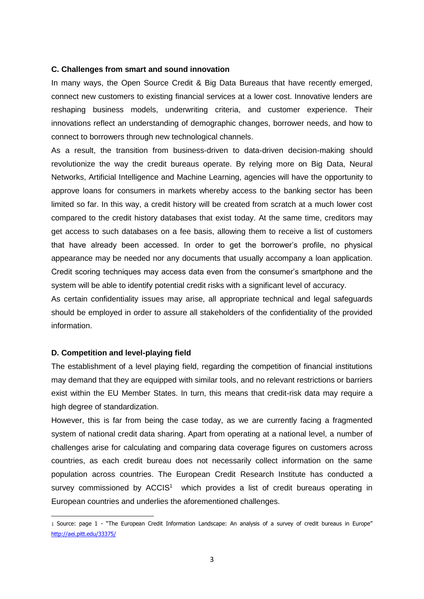#### **C. Challenges from smart and sound innovation**

In many ways, the Open Source Credit & Big Data Bureaus that have recently emerged, connect new customers to existing financial services at a lower cost. Innovative lenders are reshaping business models, underwriting criteria, and customer experience. Their innovations reflect an understanding of demographic changes, borrower needs, and how to connect to borrowers through new technological channels.

As a result, the transition from business-driven to data-driven decision-making should revolutionize the way the credit bureaus operate. By relying more on Big Data, Neural Networks, Artificial Intelligence and Machine Learning, agencies will have the opportunity to approve loans for consumers in markets whereby access to the banking sector has been limited so far. In this way, a credit history will be created from scratch at a much lower cost compared to the credit history databases that exist today. At the same time, creditors may get access to such databases on a fee basis, allowing them to receive a list of customers that have already been accessed. In order to get the borrower's profile, no physical appearance may be needed nor any documents that usually accompany a loan application. Credit scoring techniques may access data even from the consumer's smartphone and the system will be able to identify potential credit risks with a significant level of accuracy.

As certain confidentiality issues may arise, all appropriate technical and legal safeguards should be employed in order to assure all stakeholders of the confidentiality of the provided information.

#### **D. Competition and level-playing field**

**.** 

The establishment of a level playing field, regarding the competition of financial institutions may demand that they are equipped with similar tools, and no relevant restrictions or barriers exist within the EU Member States. In turn, this means that credit-risk data may require a high degree of standardization.

However, this is far from being the case today, as we are currently facing a fragmented system of national credit data sharing. Apart from operating at a national level, a number of challenges arise for calculating and comparing data coverage figures on customers across countries, as each credit bureau does not necessarily collect information on the same population across countries. The European Credit Research Institute has conducted a survey commissioned by  $ACCIS<sup>1</sup>$  which provides a list of credit bureaus operating in European countries and underlies the aforementioned challenges.

<sup>1</sup> Source: page 1 - "The European Credit Information Landscape: An analysis of a survey of credit bureaus in Europe" <http://aei.pitt.edu/33375/>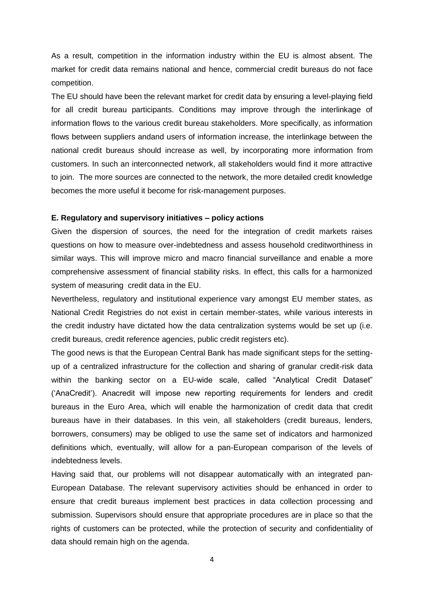As a result, competition in the information industry within the EU is almost absent. The market for credit data remains national and hence, commercial credit bureaus do not face competition.

The EU should have been the relevant market for credit data by ensuring a level-playing field for all credit bureau participants. Conditions may improve through the interlinkage of information flows to the various credit bureau stakeholders. More specifically, as information flows between suppliers andand users of information increase, the interlinkage between the national credit bureaus should increase as well, by incorporating more information from customers. In such an interconnected network, all stakeholders would find it more attractive to join. The more sources are connected to the network, the more detailed credit knowledge becomes the more useful it become for risk-management purposes.

#### **E. Regulatory and supervisory initiatives – policy actions**

Given the dispersion of sources, the need for the integration of credit markets raises questions on how to measure over-indebtedness and assess household creditworthiness in similar ways. This will improve micro and macro financial surveillance and enable a more comprehensive assessment of financial stability risks. In effect, this calls for a harmonized system of measuring credit data in the EU.

Nevertheless, regulatory and institutional experience vary amongst EU member states, as National Credit Registries do not exist in certain member-states, while various interests in the credit industry have dictated how the data centralization systems would be set up (i.e. credit bureaus, credit reference agencies, public credit registers etc).

The good news is that the European Central Bank has made significant steps for the settingup of a centralized infrastructure for the collection and sharing of granular credit-risk data within the banking sector on a EU-wide scale, called "Analytical Credit Dataset" ('AnaCredit'). Anacredit will impose new reporting requirements for lenders and credit bureaus in the Euro Area, which will enable the harmonization of credit data that credit bureaus have in their databases. In this vein, all stakeholders (credit bureaus, lenders, borrowers, consumers) may be obliged to use the same set of indicators and harmonized definitions which, eventually, will allow for a pan-European comparison of the levels of indebtedness levels.

Having said that, our problems will not disappear automatically with an integrated pan-European Database. The relevant supervisory activities should be enhanced in order to ensure that credit bureaus implement best practices in data collection processing and submission. Supervisors should ensure that appropriate procedures are in place so that the rights of customers can be protected, while the protection of security and confidentiality of data should remain high on the agenda.

4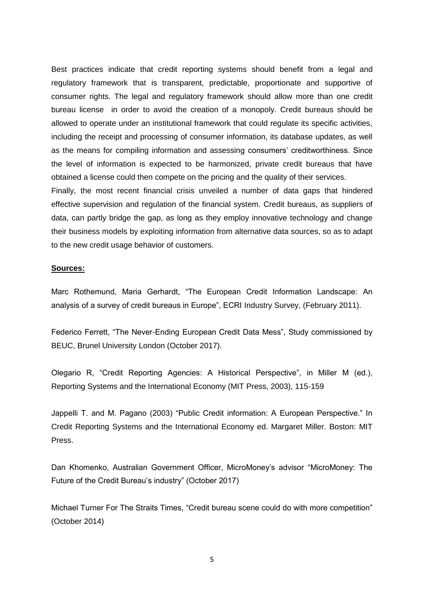Best practices indicate that credit reporting systems should benefit from a legal and regulatory framework that is transparent, predictable, proportionate and supportive of consumer rights. The legal and regulatory framework should allow more than one credit bureau license in order to avoid the creation of a monopoly. Credit bureaus should be allowed to operate under an institutional framework that could regulate its specific activities, including the receipt and processing of consumer information, its database updates, as well as the means for compiling information and assessing consumers' creditworthiness. Since the level of information is expected to be harmonized, private credit bureaus that have obtained a license could then compete on the pricing and the quality of their services.

Finally, the most recent financial crisis unveiled a number of data gaps that hindered effective supervision and regulation of the financial system. Credit bureaus, as suppliers of data, can partly bridge the gap, as long as they employ innovative technology and change their business models by exploiting information from alternative data sources, so as to adapt to the new credit usage behavior of customers.

# **Sources:**

Marc Rothemund, Maria Gerhardt, "The European Credit Information Landscape: An analysis of a survey of credit bureaus in Europe", ECRI Industry Survey, (February 2011).

Federico Ferrett, "The Never-Ending European Credit Data Mess", Study commissioned by BEUC, Brunel University London (October 2017).

Olegario R, "Credit Reporting Agencies: A Historical Perspective", in Miller M (ed.), Reporting Systems and the International Economy (MIT Press, 2003), 115-159

Jappelli T. and M. Pagano (2003) "Public Credit information: A European Perspective." In Credit Reporting Systems and the International Economy ed. Margaret Miller. Boston: MIT Press.

Dan Khomenko, Australian Government Officer, MicroMoney's advisor "MicroMoney: The Future of the Credit Bureau's industry" (October 2017)

Michael Turner For The Straits Times, "Credit bureau scene could do with more competition" (October 2014)

5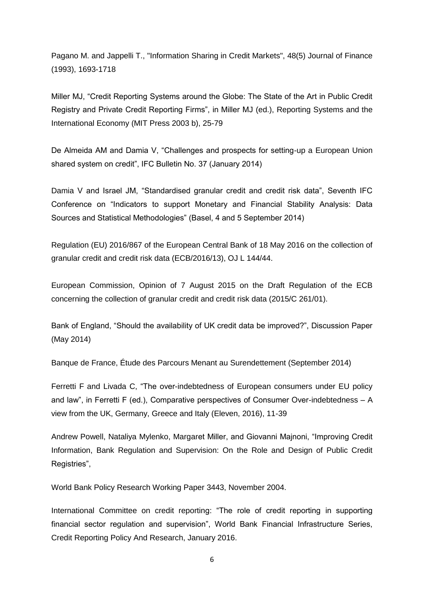Pagano M. and Jappelli T., "Information Sharing in Credit Markets", 48(5) Journal of Finance (1993), 1693-1718

Miller MJ, "Credit Reporting Systems around the Globe: The State of the Art in Public Credit Registry and Private Credit Reporting Firms", in Miller MJ (ed.), Reporting Systems and the International Economy (MIT Press 2003 b), 25-79

De Almeida AM and Damia V, "Challenges and prospects for setting-up a European Union shared system on credit", IFC Bulletin No. 37 (January 2014)

Damia V and Israel JM, "Standardised granular credit and credit risk data", Seventh IFC Conference on "Indicators to support Monetary and Financial Stability Analysis: Data Sources and Statistical Methodologies" (Basel, 4 and 5 September 2014)

Regulation (EU) 2016/867 of the European Central Bank of 18 May 2016 on the collection of granular credit and credit risk data (ECB/2016/13), OJ L 144/44.

European Commission, Opinion of 7 August 2015 on the Draft Regulation of the ECB concerning the collection of granular credit and credit risk data (2015/C 261/01).

Bank of England, "Should the availability of UK credit data be improved?", Discussion Paper (May 2014)

Banque de France, Étude des Parcours Menant au Surendettement (September 2014)

Ferretti F and Livada C, "The over-indebtedness of European consumers under EU policy and law", in Ferretti F (ed.), Comparative perspectives of Consumer Over-indebtedness – A view from the UK, Germany, Greece and Italy (Eleven, 2016), 11-39

Andrew Powell, Nataliya Mylenko, Margaret Miller, and Giovanni Majnoni, "Improving Credit Information, Bank Regulation and Supervision: On the Role and Design of Public Credit Registries",

World Bank Policy Research Working Paper 3443, November 2004.

International Committee on credit reporting: "The role of credit reporting in supporting financial sector regulation and supervision", World Bank Financial Infrastructure Series, Credit Reporting Policy And Research, January 2016.